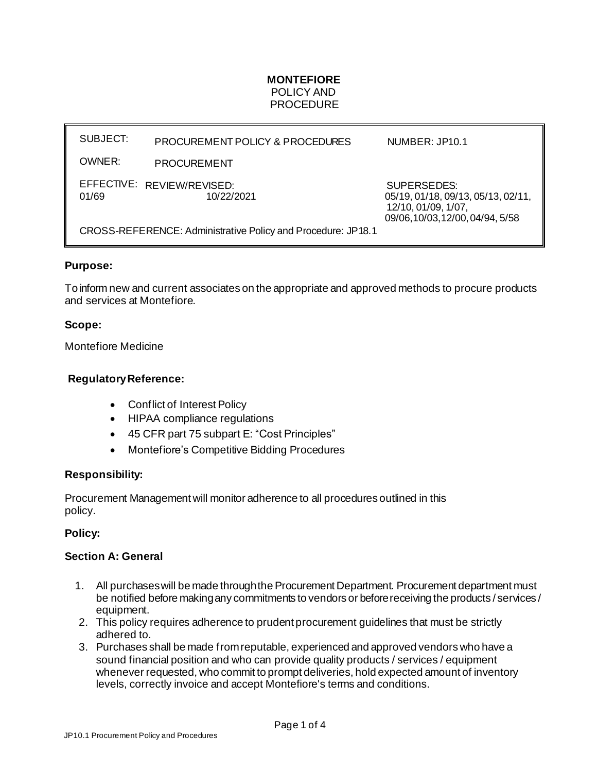## **MONTEFIORE** POLICY AND **PROCEDURE**

SUBJECT: OWNER: EFFECTIVE: REVIEW/REVISED: PROCUREMENT POLICY & PROCEDURES PROCUREMENT NUMBER: JP10.1 SUPERSEDES: 01/69 10/22/2021 10/22/2021 05/19, 01/18, 09/13, 05/13, 02/11, 12/10, 01/09, 1/07, 09/06,10/03,12/00,04/94, 5/58 CROSS-REFERENCE: Administrative Policy and Procedure: JP18.1

## **Purpose:**

To inform new and current associates on the appropriate and approved methods to procure products and services at Montefiore.

## **Scope:**

Montefiore Medicine

## **RegulatoryReference:**

- Conflict of Interest Policy
- HIPAA compliance regulations
- 45 CFR part 75 subpart E: "Cost Principles"
- Montefiore's Competitive Bidding Procedures

#### **Responsibility:**

Procurement Management will monitor adherence to all procedures outlined in this policy.

#### **Policy:**

#### **Section A: General**

- 1. All purchases will be made through the Procurement Department. Procurement department must be notified before makingany commitments to vendors or before receiving the products / services / equipment.
- 2. This policy requires adherence to prudent procurement guidelines that must be strictly adhered to.
- 3. Purchases shall be made fromreputable, experienced and approved vendors who have a sound financial position and who can provide quality products / services / equipment whenever requested, who commit to prompt deliveries, hold expected amount of inventory levels, correctly invoice and accept Montefiore's terms and conditions.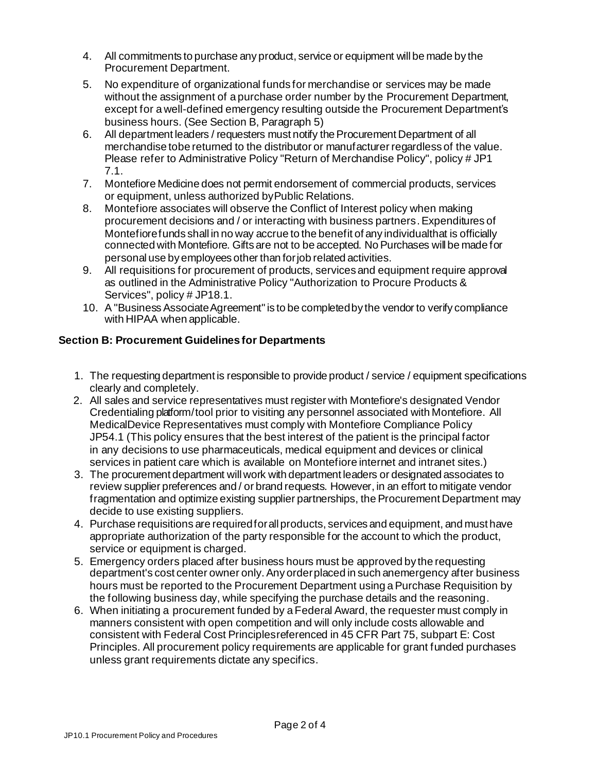- 4. All commitments to purchase any product, service or equipment willbe made by the Procurement Department.
- 5. No expenditure of organizational funds for merchandise or services may be made without the assignment of a purchase order number by the Procurement Department, except for a well-defined emergency resulting outside the Procurement Department's business hours. (See Section B, Paragraph 5)
- 6. All department leaders / requesters must notify the Procurement Department of all merchandise to be returned to the distributor or manufacturer regardless of the value. Please refer to Administrative Policy "Return of Merchandise Policy", policy # JP1 7.1.
- 7. Montefiore Medicine does not permit endorsement of commercial products, services or equipment, unless authorized byPublic Relations.
- 8. Montefiore associates will observe the Conflict of Interest policy when making procurement decisions and / or interacting with business partners.Expenditures of Montefiorefunds shall in no way accrue to the benefit of any individualthat is officially connected with Montefiore. Gifts are not to be accepted. No Purchases will be made for personal use by employees other than forjob related activities.
- 9. All requisitions for procurement of products, services and equipment require approval as outlined in the Administrative Policy "Authorization to Procure Products & Services", policy # JP18.1.
- 10. A "Business Associate Agreement" is to be completed by the vendor to verify compliance with HIPAA when applicable.

# **Section B: Procurement Guidelines for Departments**

- 1. The requesting department is responsible to provide product / service / equipment specifications clearly and completely.
- 2. All sales and service representatives must register with Montefiore's designated Vendor Credentialing platform / tool prior to visiting any personnel associated with Montefiore. All MedicalDevice Representatives must comply with Montefiore Compliance Policy JP54.1 (This policy ensures that the best interest of the patient is the principal factor in any decisions to use pharmaceuticals, medical equipment and devices or clinical services in patient care which is available on Montefiore internet and intranet sites.)
- 3. The procurement department will work with department leaders or designated associates to review supplier preferences and / or brand requests. However, in an effort to mitigate vendor fragmentation and optimize existing supplier partnerships, the Procurement Department may decide to use existing suppliers.
- 4. Purchase requisitions are requiredforallproducts, services and equipment, and must have appropriate authorization of the party responsible for the account to which the product, service or equipment is charged.
- 5. Emergency orders placed after business hours must be approved by the requesting department's cost center owner only. Any order placed in such anemergency after business hours must be reported to the Procurement Department using a Purchase Requisition by the following business day, while specifying the purchase details and the reasoning.
- 6. When initiating a procurement funded by a Federal Award, the requester must comply in manners consistent with open competition and will only include costs allowable and consistent with Federal Cost Principlesreferenced in 45 CFR Part 75, subpart E: Cost Principles. All procurement policy requirements are applicable for grant funded purchases unless grant requirements dictate any specifics.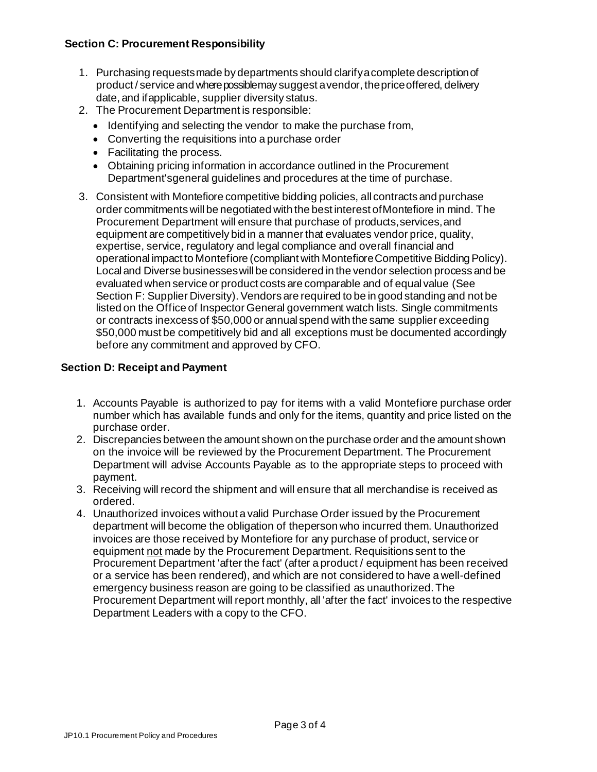# **Section C: Procurement Responsibility**

- 1. Purchasing requestsmade by departments should clarifyacomplete descriptionof product / service and where possible may suggest a vendor, the price offered, delivery date, and ifapplicable, supplier diversity status.
- 2. The Procurement Department is responsible:
	- Identifying and selecting the vendor to make the purchase from,
	- Converting the requisitions into a purchase order
	- Facilitating the process.
	- Obtaining pricing information in accordance outlined in the Procurement Department'sgeneral guidelines and procedures at the time of purchase.
- 3. Consistent with Montefiore competitive bidding policies, all contracts and purchase order commitments will be negotiated with the best interest of Montefiore in mind. The Procurement Department will ensure that purchase of products, services, and equipment are competitively bid in a manner that evaluates vendor price, quality, expertise, service, regulatory and legal compliance and overall financial and operational impact to Montefiore (compliant with MontefioreCompetitive BiddingPolicy). Local and Diverse businesses will be considered in the vendor selection process and be evaluated when service or product costs are comparable and of equal value (See Section F: Supplier Diversity). Vendors are required to be in good standing and not be listed on the Office of Inspector General government watch lists. Single commitments or contracts inexcess of \$50,000 or annual spend with the same supplier exceeding \$50,000 must be competitively bid and all exceptions must be documented accordingly before any commitment and approved by CFO.

## **Section D: Receipt and Payment**

- 1. Accounts Payable is authorized to pay for items with a valid Montefiore purchase order number which has available funds and only for the items, quantity and price listed on the purchase order.
- 2. Discrepancies between the amount shown on the purchase order and the amount shown on the invoice will be reviewed by the Procurement Department. The Procurement Department will advise Accounts Payable as to the appropriate steps to proceed with payment.
- 3. Receiving will record the shipment and will ensure that all merchandise is received as ordered.
- 4. Unauthorized invoices without a valid Purchase Order issued by the Procurement department will become the obligation of theperson who incurred them. Unauthorized invoices are those received by Montefiore for any purchase of product, service or equipment not made by the Procurement Department. Requisitions sent to the Procurement Department 'after the fact' (after a product / equipment has been received or a service has been rendered), and which are not considered to have a well-defined emergency business reason are going to be classified as unauthorized. The Procurement Department will report monthly, all 'after the fact' invoices to the respective Department Leaders with a copy to the CFO.